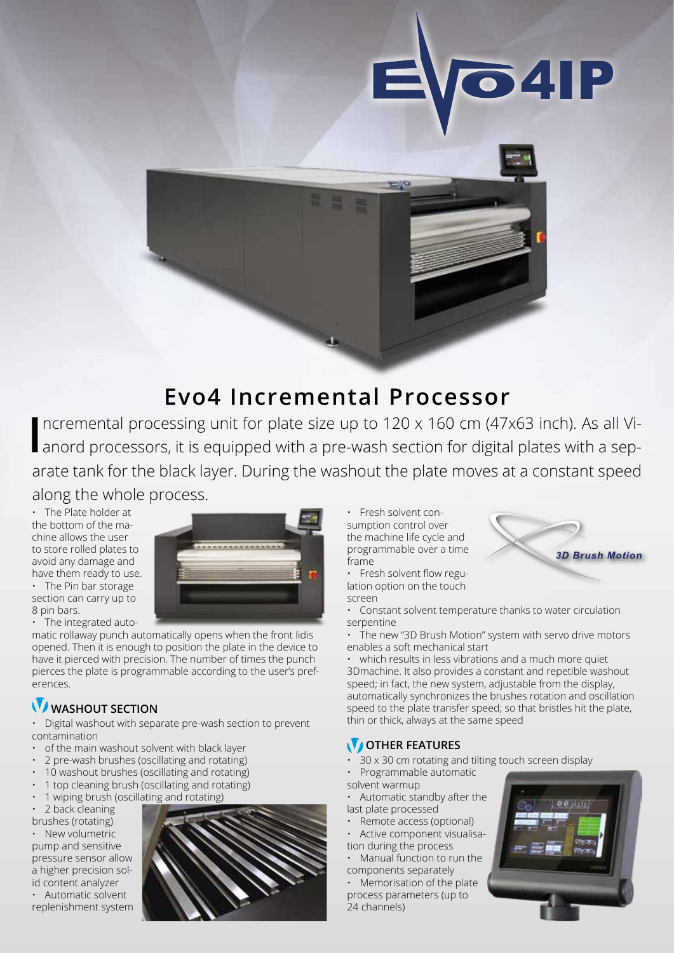

## **Evo4 Incremental Processor**

Incremental processing unit for plate size up to 120 x 160 cm (47x63 inch). As all Vianord processors, it is equipped with a pre-wash section for digital plates with a sepncremental processing unit for plate size up to 120 x 160 cm (47x63 inch). As all Viarate tank for the black layer. During the washout the plate moves at a constant speed

along the whole process.

• The Plate holder at the bottom of the machine allows the user to store rolled plates to avoid any damage and have them ready to use. • The Pin bar storage section can carry up to 8 pin bars.

• The integrated auto-

matic rollaway punch automatically opens when the front lidis opened. Then it is enough to position the plate in the device to have it pierced with precision. The number of times the punch pierces the plate is programmable according to the user's preferences.

## *WASHOUT SECTION*

• Digital washout with separate pre-wash section to prevent contamination

- of the main washout solvent with black layer
- 2 pre-wash brushes (oscillating and rotating)
- 10 washout brushes (oscillating and rotating)
- 1 top cleaning brush (oscillating and rotating)
- 1 wiping brush (oscillating and rotating)
- 2 back cleaning

brushes (rotating) • New volumetric pump and sensitive pressure sensor allow a higher precision solid content analyzer

Automatic solvent replenishment system



• Fresh solvent consumption control over the machine life cycle and programmable over a time frame

• Fresh solvent flow regulation option on the touch screen

• Constant solvent temperature thanks to water circulation serpentine

• The new "3D Brush Motion" system with servo drive motors enables a soft mechanical start

• which results in less vibrations and a much more quiet 3Dmachine. It also provides a constant and repetible washout speed; in fact, the new system, adjustable from the display, automatically synchronizes the brushes rotation and oscillation speed to the plate transfer speed; so that bristles hit the plate, thin or thick, always at the same speed

## **OTHER FEATURES**

- 30 x 30 cm rotating and tilting touch screen display
- Programmable automatic solvent warmup
- Automatic standby after the last plate processed
- Remote access (optional)
- Active component visualisation during the process
- Manual function to run the components separately

• Memorisation of the plate process parameters (up to 24 channels)



**3D Brush Motion**